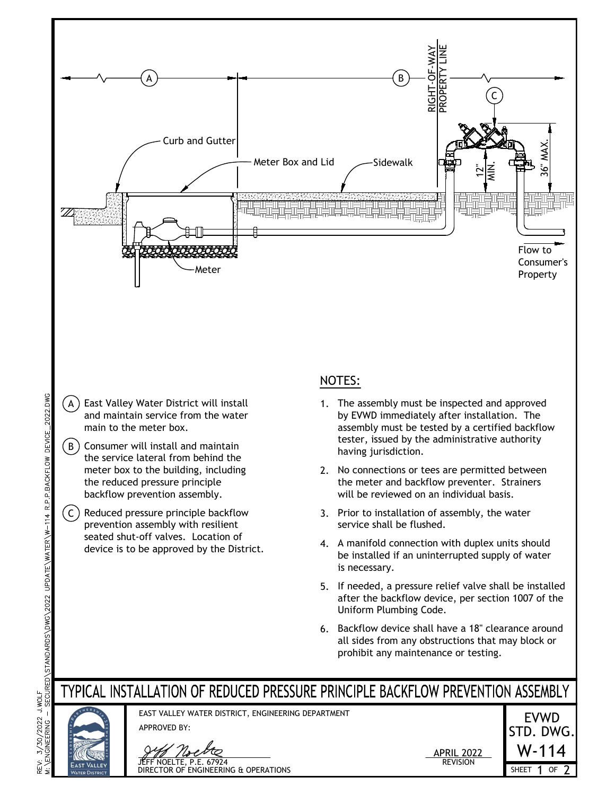

- $(A)$  East Valley Water District will install and maintain service from the water main to the meter box.
- $(B)$  Consumer will install and maintain the service lateral from behind the<br>meter box to the building, including the reduced pressure principle backflow prevention assembly.
- $(C)$  Reduced pressure principle backflow prevention assembly with resilient seated shut-off valves. Location of

## NOTES:

- 1. The assembly must be inspected and approved by EVWD immediately after installation. The assembly must be tested by a certified backflow tester, issued by the administrative authority having jurisdiction.
- 2. No connections or tees are permitted between the meter and backflow preventer. Strainers will be reviewed on an individual basis.
- 3. Prior to installation of assembly, the water service shall be flushed.
- 4. A manifold connection with duplex units should be installed if an uninterrupted supply of water is necessary.
- 5. If needed, a pressure relief valve shall be installed after the backflow device, per section 1007 of the Uniform Plumbing Code.
- 6. Backflow device shall have a 18" clearance around all sides from any obstructions that may block or prohibit any maintenance or testing.

## TYPICAL INSTALLATION OF REDUCED PRESSURE PRINCIPLE BACKFLOW PREVENTION ASSEMBLY

APPROVED BY:



EAST VALLEY WATER DISTRICT, ENGINEERING DEPARTMENT





3/30/2022 J.WOLF<br>NGINEERING — SECURED\STANDARDS\DWG\2022 UPDATE\WATER\W-114 R.P.P.BACKFLOW DEVICE\_2022.DWG